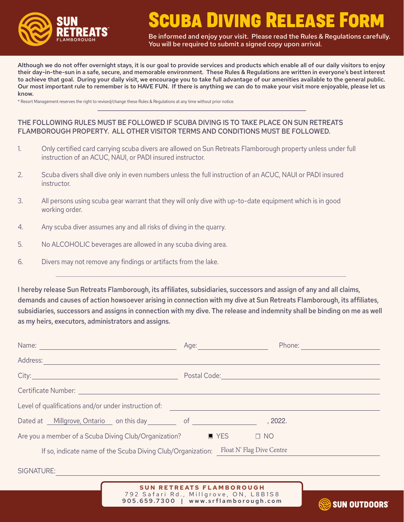

# **CUBA DIVING RELEASE FORM**

Be informed and enjoy your visit. Please read the Rules & Regulations carefully. You will be required to submit a signed copy upon arrival.

Although we do not offer overnight stays, it is our goal to provide services and products which enable all of our daily visitors to enjoy their day-in-the-sun in a safe, secure, and memorable environment. These Rules & Regulations are written in everyone's best interest to achieve that goal. During your daily visit, we encourage you to take full advantage of our amenities available to the general public. Our most important rule to remember is to HAVE FUN. If there is anything we can do to make your visit more enjoyable, please let us know.

\* Resort Management reserves the right to revised/change these Rules & Regulations at any time without prior notice.

## THE FOLLOWING RULES MUST BE FOLLOWED IF SCUBA DIVING IS TO TAKE PLACE ON SUN RETREATS FLAMBOROUGH PROPERTY. ALL OTHER VISITOR TERMS AND CONDITIONS MUST BE FOLLOWED.

- 1. Only certified card carrying scuba divers are allowed on Sun Retreats Flamborough property unless under full instruction of an ACUC, NAUI, or PADI insured instructor.
- 2. Scuba divers shall dive only in even numbers unless the full instruction of an ACUC, NAUI or PADI insured instructor.
- 3. All persons using scuba gear warrant that they will only dive with up-to-date equipment which is in good working order.
- 4. Any scuba diver assumes any and all risks of diving in the quarry.
- 5. No ALCOHOLIC beverages are allowed in any scuba diving area.
- 6. Divers may not remove any findings or artifacts from the lake.

I hereby release Sun Retreats Flamborough, its affiliates, subsidiaries, successors and assign of any and all claims, demands and causes of action howsoever arising in connection with my dive at Sun Retreats Flamborough, its affiliates, subsidiaries, successors and assigns in connection with my dive. The release and indemnity shall be binding on me as well as my heirs, executors, administrators and assigns.

| Name: 2008 - 2008 - 2008 - 2010 - 2010 - 2011 - 2012 - 2012 - 2013 - 2014 - 2014 - 2014 - 2014 - 2014 - 2014 -                                                                                                                | Age: <u>_______________</u>                | Phone: |
|-------------------------------------------------------------------------------------------------------------------------------------------------------------------------------------------------------------------------------|--------------------------------------------|--------|
| Address:                                                                                                                                                                                                                      |                                            |        |
| City: City: City: City: City: City: City: City: City: City: City: City: City: City: City: City: City: City: City: City: City: City: City: City: City: City: City: City: City: City: City: City: City: City: City: City: City: | Postal Code: New York Code: New York Code: |        |
| Certificate Number: Electric According to the Certificate Number:                                                                                                                                                             |                                            |        |
| Level of qualifications and/or under instruction of:                                                                                                                                                                          |                                            |        |
| Dated at Millgrove, Ontario on this day of of                                                                                                                                                                                 | , 2022.                                    |        |
| Are you a member of a Scuba Diving Club/Organization?<br>$\blacksquare$ YES<br>$\Box$ NO                                                                                                                                      |                                            |        |
| If so, indicate name of the Scuba Diving Club/Organization:                                                                                                                                                                   | Float N' Flag Dive Centre                  |        |
| SIGNATURE:                                                                                                                                                                                                                    |                                            |        |



**SUN OUTDOORS**